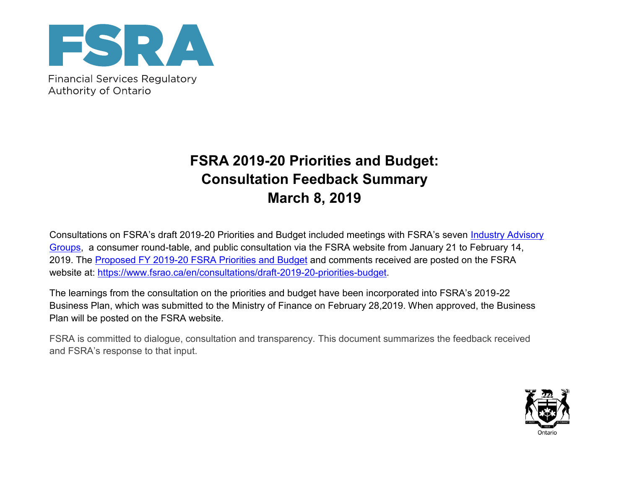

Authority of Ontario

## **FSRA 2019-20 Priorities and Budget: Consultation Feedback Summary March 8, 2019**

Consultations on FSRA's draft 2019-20 Priorities and Budget included meetings with FSRA's seven Industry Advisory [Groups,](https://www.fsrao.ca/en/consultations/industry-advisory-groups) a consumer round-table, and public consultation via the FSRA website from January 21 to February 14, 2019. The [Proposed FY 2019-20 FSRA Priorities and Budget](https://www.fsrao.ca/assets/consultations/FSRA_Proposed_2019-20_Priorities_and_Budget_final_20190121.pdf) and comments received are posted on the FSRA website at: [https://www.fsrao.ca/en/consultations/draft-2019-20-priorities-budget.](https://www.fsrao.ca/en/consultations/draft-2019-20-priorities-budget)

The learnings from the consultation on the priorities and budget have been incorporated into FSRA's 2019-22 Business Plan, which was submitted to the Ministry of Finance on February 28,2019. When approved, the Business Plan will be posted on the FSRA website.

FSRA is committed to dialogue, consultation and transparency. This document summarizes the feedback received and FSRA's response to that input.

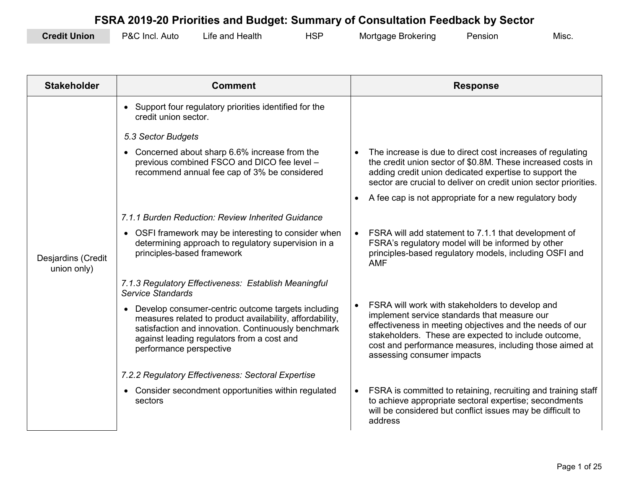| <b>Credit Union</b> | P&C Incl.<br>Auto | Life and Health | <b>UCL</b><br>⊣ت . | Mortgage Brokering | Pension | MISC. |
|---------------------|-------------------|-----------------|--------------------|--------------------|---------|-------|
|---------------------|-------------------|-----------------|--------------------|--------------------|---------|-------|

| <b>Stakeholder</b>                | <b>Comment</b>                                                                                                                                                                                                                                              |           | <b>Response</b>                                                                                                                                                                                                                                                                                              |
|-----------------------------------|-------------------------------------------------------------------------------------------------------------------------------------------------------------------------------------------------------------------------------------------------------------|-----------|--------------------------------------------------------------------------------------------------------------------------------------------------------------------------------------------------------------------------------------------------------------------------------------------------------------|
|                                   | • Support four regulatory priorities identified for the<br>credit union sector.                                                                                                                                                                             |           |                                                                                                                                                                                                                                                                                                              |
|                                   | 5.3 Sector Budgets                                                                                                                                                                                                                                          |           |                                                                                                                                                                                                                                                                                                              |
|                                   | • Concerned about sharp 6.6% increase from the<br>previous combined FSCO and DICO fee level -<br>recommend annual fee cap of 3% be considered                                                                                                               |           | The increase is due to direct cost increases of regulating<br>the credit union sector of \$0.8M. These increased costs in<br>adding credit union dedicated expertise to support the<br>sector are crucial to deliver on credit union sector priorities.                                                      |
|                                   |                                                                                                                                                                                                                                                             |           | A fee cap is not appropriate for a new regulatory body                                                                                                                                                                                                                                                       |
|                                   | 7.1.1 Burden Reduction: Review Inherited Guidance                                                                                                                                                                                                           |           |                                                                                                                                                                                                                                                                                                              |
| Desjardins (Credit<br>union only) | OSFI framework may be interesting to consider when<br>$\bullet$<br>determining approach to regulatory supervision in a<br>principles-based framework                                                                                                        | $\bullet$ | FSRA will add statement to 7.1.1 that development of<br>FSRA's regulatory model will be informed by other<br>principles-based regulatory models, including OSFI and<br><b>AMF</b>                                                                                                                            |
|                                   | 7.1.3 Regulatory Effectiveness: Establish Meaningful<br>Service Standards                                                                                                                                                                                   |           |                                                                                                                                                                                                                                                                                                              |
|                                   | Develop consumer-centric outcome targets including<br>$\bullet$<br>measures related to product availability, affordability,<br>satisfaction and innovation. Continuously benchmark<br>against leading regulators from a cost and<br>performance perspective |           | FSRA will work with stakeholders to develop and<br>implement service standards that measure our<br>effectiveness in meeting objectives and the needs of our<br>stakeholders. These are expected to include outcome,<br>cost and performance measures, including those aimed at<br>assessing consumer impacts |
|                                   | 7.2.2 Regulatory Effectiveness: Sectoral Expertise                                                                                                                                                                                                          |           |                                                                                                                                                                                                                                                                                                              |
|                                   | • Consider secondment opportunities within regulated<br>sectors                                                                                                                                                                                             | $\bullet$ | FSRA is committed to retaining, recruiting and training staff<br>to achieve appropriate sectoral expertise; secondments<br>will be considered but conflict issues may be difficult to<br>address                                                                                                             |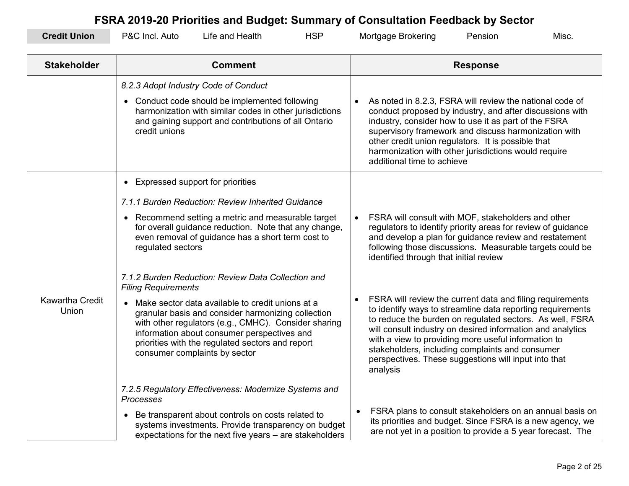| <b>Credit Union</b>      | P&C Incl. Auto<br>Life and Health                                                                                                                                                                                                                                                                                                                                                                                                                                                | <b>HSP</b> | Mortgage Brokering                                                                                                                                                                                                                                                                                                                                                                                                                                                                           | Pension         | Misc. |
|--------------------------|----------------------------------------------------------------------------------------------------------------------------------------------------------------------------------------------------------------------------------------------------------------------------------------------------------------------------------------------------------------------------------------------------------------------------------------------------------------------------------|------------|----------------------------------------------------------------------------------------------------------------------------------------------------------------------------------------------------------------------------------------------------------------------------------------------------------------------------------------------------------------------------------------------------------------------------------------------------------------------------------------------|-----------------|-------|
| <b>Stakeholder</b>       | <b>Comment</b>                                                                                                                                                                                                                                                                                                                                                                                                                                                                   |            |                                                                                                                                                                                                                                                                                                                                                                                                                                                                                              | <b>Response</b> |       |
|                          | 8.2.3 Adopt Industry Code of Conduct<br>• Conduct code should be implemented following<br>harmonization with similar codes in other jurisdictions<br>and gaining support and contributions of all Ontario<br>credit unions                                                                                                                                                                                                                                                       |            | As noted in 8.2.3, FSRA will review the national code of<br>conduct proposed by industry, and after discussions with<br>industry, consider how to use it as part of the FSRA<br>supervisory framework and discuss harmonization with<br>other credit union regulators. It is possible that<br>harmonization with other jurisdictions would require<br>additional time to achieve                                                                                                             |                 |       |
| Kawartha Credit<br>Union | • Expressed support for priorities<br>7.1.1 Burden Reduction: Review Inherited Guidance<br>• Recommend setting a metric and measurable target<br>for overall guidance reduction. Note that any change,<br>even removal of guidance has a short term cost to<br>regulated sectors<br>7.1.2 Burden Reduction: Review Data Collection and<br><b>Filing Requirements</b><br>• Make sector data available to credit unions at a<br>granular basis and consider harmonizing collection |            | FSRA will consult with MOF, stakeholders and other<br>$\bullet$<br>regulators to identify priority areas for review of guidance<br>and develop a plan for guidance review and restatement<br>following those discussions. Measurable targets could be<br>identified through that initial review<br>FSRA will review the current data and filing requirements<br>to identify ways to streamline data reporting requirements                                                                   |                 |       |
|                          | with other regulators (e.g., CMHC). Consider sharing<br>information about consumer perspectives and<br>priorities with the regulated sectors and report<br>consumer complaints by sector<br>7.2.5 Regulatory Effectiveness: Modernize Systems and<br>Processes<br>• Be transparent about controls on costs related to<br>systems investments. Provide transparency on budget<br>expectations for the next five years - are stakeholders                                          |            | to reduce the burden on regulated sectors. As well, FSRA<br>will consult industry on desired information and analytics<br>with a view to providing more useful information to<br>stakeholders, including complaints and consumer<br>perspectives. These suggestions will input into that<br>analysis<br>FSRA plans to consult stakeholders on an annual basis on<br>its priorities and budget. Since FSRA is a new agency, we<br>are not yet in a position to provide a 5 year forecast. The |                 |       |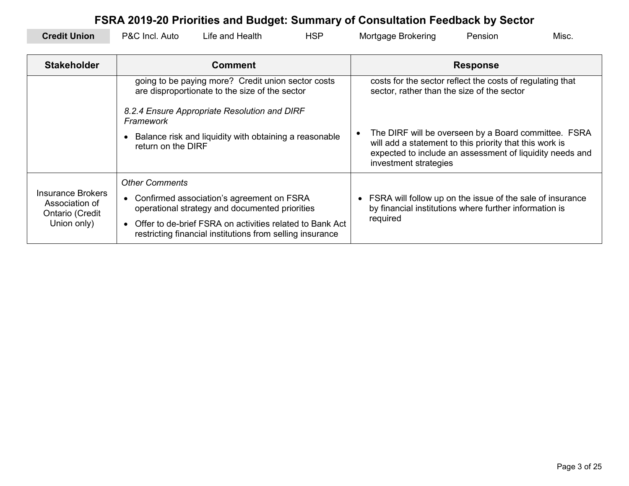| FSRA 2019-20 Priorities and Budget: Summary of Consultation Feedback by Sector |                                                                                                          |                                                                                                                       |            |                                                                                                                                                                                                      |                                                                                                                     |                 |       |
|--------------------------------------------------------------------------------|----------------------------------------------------------------------------------------------------------|-----------------------------------------------------------------------------------------------------------------------|------------|------------------------------------------------------------------------------------------------------------------------------------------------------------------------------------------------------|---------------------------------------------------------------------------------------------------------------------|-----------------|-------|
| <b>Credit Union</b>                                                            | P&C Incl. Auto                                                                                           | Life and Health                                                                                                       | <b>HSP</b> |                                                                                                                                                                                                      | Mortgage Brokering                                                                                                  | Pension         | Misc. |
|                                                                                |                                                                                                          |                                                                                                                       |            |                                                                                                                                                                                                      |                                                                                                                     |                 |       |
| <b>Stakeholder</b>                                                             |                                                                                                          | <b>Comment</b>                                                                                                        |            |                                                                                                                                                                                                      |                                                                                                                     | <b>Response</b> |       |
|                                                                                | going to be paying more? Credit union sector costs<br>are disproportionate to the size of the sector     |                                                                                                                       |            | costs for the sector reflect the costs of regulating that<br>sector, rather than the size of the sector                                                                                              |                                                                                                                     |                 |       |
|                                                                                | Framework                                                                                                | 8.2.4 Ensure Appropriate Resolution and DIRF                                                                          |            |                                                                                                                                                                                                      |                                                                                                                     |                 |       |
|                                                                                | Balance risk and liquidity with obtaining a reasonable<br>return on the DIRF                             |                                                                                                                       |            | The DIRF will be overseen by a Board committee. FSRA<br>will add a statement to this priority that this work is<br>expected to include an assessment of liquidity needs and<br>investment strategies |                                                                                                                     |                 |       |
|                                                                                | <b>Other Comments</b>                                                                                    |                                                                                                                       |            |                                                                                                                                                                                                      |                                                                                                                     |                 |       |
| <b>Insurance Brokers</b><br>Association of<br>Ontario (Credit<br>Union only)   | Confirmed association's agreement on FSRA<br>$\bullet$<br>operational strategy and documented priorities |                                                                                                                       |            |                                                                                                                                                                                                      | FSRA will follow up on the issue of the sale of insurance<br>by financial institutions where further information is |                 |       |
|                                                                                | $\bullet$                                                                                                | Offer to de-brief FSRA on activities related to Bank Act<br>restricting financial institutions from selling insurance |            |                                                                                                                                                                                                      | required                                                                                                            |                 |       |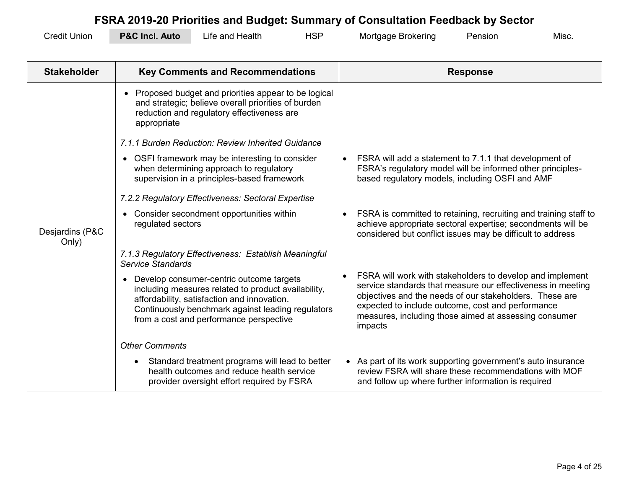| <b>Credit Union</b> | <b>P&amp;C Incl. Auto</b> | Life and Health | HSP | Mortgage Brokering | Pension | Misc. |
|---------------------|---------------------------|-----------------|-----|--------------------|---------|-------|
|---------------------|---------------------------|-----------------|-----|--------------------|---------|-------|

| <b>Stakeholder</b>       | <b>Key Comments and Recommendations</b>                                                                                                                                                                                                          |           | <b>Response</b>                                                                                                                                                                                                                                                                                              |
|--------------------------|--------------------------------------------------------------------------------------------------------------------------------------------------------------------------------------------------------------------------------------------------|-----------|--------------------------------------------------------------------------------------------------------------------------------------------------------------------------------------------------------------------------------------------------------------------------------------------------------------|
|                          | Proposed budget and priorities appear to be logical<br>and strategic; believe overall priorities of burden<br>reduction and regulatory effectiveness are<br>appropriate                                                                          |           |                                                                                                                                                                                                                                                                                                              |
|                          | 7.1.1 Burden Reduction: Review Inherited Guidance                                                                                                                                                                                                |           |                                                                                                                                                                                                                                                                                                              |
|                          | • OSFI framework may be interesting to consider<br>when determining approach to regulatory<br>supervision in a principles-based framework                                                                                                        | $\bullet$ | FSRA will add a statement to 7.1.1 that development of<br>FSRA's regulatory model will be informed other principles-<br>based regulatory models, including OSFI and AMF                                                                                                                                      |
|                          | 7.2.2 Regulatory Effectiveness: Sectoral Expertise                                                                                                                                                                                               |           |                                                                                                                                                                                                                                                                                                              |
| Desjardins (P&C<br>Only) | • Consider secondment opportunities within<br>regulated sectors                                                                                                                                                                                  |           | FSRA is committed to retaining, recruiting and training staff to<br>achieve appropriate sectoral expertise; secondments will be<br>considered but conflict issues may be difficult to address                                                                                                                |
|                          | 7.1.3 Regulatory Effectiveness: Establish Meaningful<br>Service Standards                                                                                                                                                                        |           |                                                                                                                                                                                                                                                                                                              |
|                          | • Develop consumer-centric outcome targets<br>including measures related to product availability,<br>affordability, satisfaction and innovation.<br>Continuously benchmark against leading regulators<br>from a cost and performance perspective |           | FSRA will work with stakeholders to develop and implement<br>service standards that measure our effectiveness in meeting<br>objectives and the needs of our stakeholders. These are<br>expected to include outcome, cost and performance<br>measures, including those aimed at assessing consumer<br>impacts |
|                          | <b>Other Comments</b>                                                                                                                                                                                                                            |           |                                                                                                                                                                                                                                                                                                              |
|                          | Standard treatment programs will lead to better<br>health outcomes and reduce health service<br>provider oversight effort required by FSRA                                                                                                       |           | • As part of its work supporting government's auto insurance<br>review FSRA will share these recommendations with MOF<br>and follow up where further information is required                                                                                                                                 |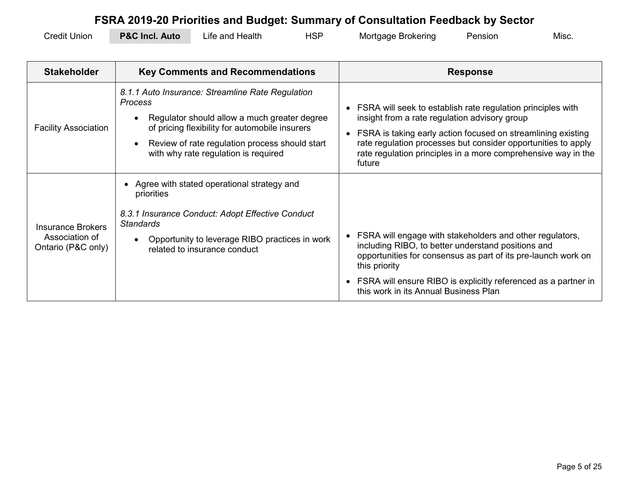| <b>Credit Union</b> | <b>P&amp;C Incl. Auto</b> | Life and Health | HSP | Mortgage Brokering | Pensior | Misc |
|---------------------|---------------------------|-----------------|-----|--------------------|---------|------|
|---------------------|---------------------------|-----------------|-----|--------------------|---------|------|

| <b>Stakeholder</b>                                               | <b>Key Comments and Recommendations</b>                                                                                                                                                                                                                        | <b>Response</b>                                                                                                                                                                                                                                                                                                          |
|------------------------------------------------------------------|----------------------------------------------------------------------------------------------------------------------------------------------------------------------------------------------------------------------------------------------------------------|--------------------------------------------------------------------------------------------------------------------------------------------------------------------------------------------------------------------------------------------------------------------------------------------------------------------------|
| <b>Facility Association</b>                                      | 8.1.1 Auto Insurance: Streamline Rate Regulation<br><b>Process</b><br>Regulator should allow a much greater degree<br>of pricing flexibility for automobile insurers<br>Review of rate regulation process should start<br>with why rate regulation is required | FSRA will seek to establish rate regulation principles with<br>insight from a rate regulation advisory group<br>FSRA is taking early action focused on streamlining existing<br>rate regulation processes but consider opportunities to apply<br>rate regulation principles in a more comprehensive way in the<br>future |
| <b>Insurance Brokers</b><br>Association of<br>Ontario (P&C only) | Agree with stated operational strategy and<br>priorities<br>8.3.1 Insurance Conduct: Adopt Effective Conduct<br><b>Standards</b><br>Opportunity to leverage RIBO practices in work<br>related to insurance conduct                                             | FSRA will engage with stakeholders and other regulators,<br>including RIBO, to better understand positions and<br>opportunities for consensus as part of its pre-launch work on<br>this priority<br>FSRA will ensure RIBO is explicitly referenced as a partner in<br>this work in its Annual Business Plan              |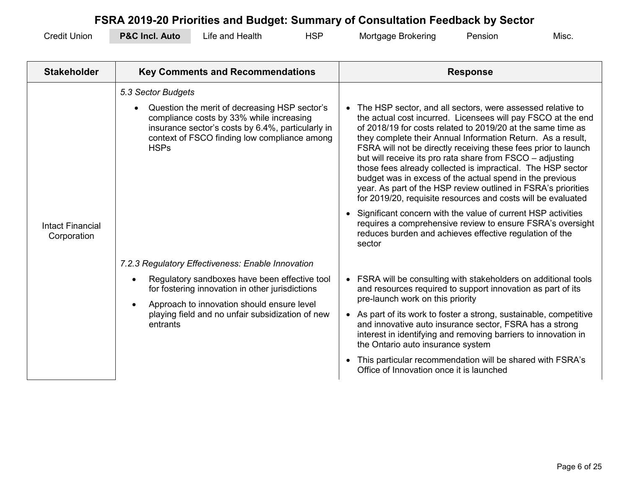| <b>Credit Union</b> | <b>P&amp;C Incl. A</b><br>. Auto | Life and Health | ⊣SP | Mortgage Brokering | Pension | <b>Misc</b> |
|---------------------|----------------------------------|-----------------|-----|--------------------|---------|-------------|
|---------------------|----------------------------------|-----------------|-----|--------------------|---------|-------------|

| <b>Stakeholder</b>                     | <b>Key Comments and Recommendations</b>                                                                                                                                                                                                                                                                                                                                                                                                                                                                                              | <b>Response</b>                                                                                                                                                                                                                                                                                                                                                                                                                                                                                                                                                                                                                                                                                                                                                                                                                                                                                                                                                                                                                                                                                                                                                                                                             |
|----------------------------------------|--------------------------------------------------------------------------------------------------------------------------------------------------------------------------------------------------------------------------------------------------------------------------------------------------------------------------------------------------------------------------------------------------------------------------------------------------------------------------------------------------------------------------------------|-----------------------------------------------------------------------------------------------------------------------------------------------------------------------------------------------------------------------------------------------------------------------------------------------------------------------------------------------------------------------------------------------------------------------------------------------------------------------------------------------------------------------------------------------------------------------------------------------------------------------------------------------------------------------------------------------------------------------------------------------------------------------------------------------------------------------------------------------------------------------------------------------------------------------------------------------------------------------------------------------------------------------------------------------------------------------------------------------------------------------------------------------------------------------------------------------------------------------------|
| <b>Intact Financial</b><br>Corporation | 5.3 Sector Budgets<br>Question the merit of decreasing HSP sector's<br>compliance costs by 33% while increasing<br>insurance sector's costs by 6.4%, particularly in<br>context of FSCO finding low compliance among<br><b>HSPs</b><br>7.2.3 Regulatory Effectiveness: Enable Innovation<br>Regulatory sandboxes have been effective tool<br>$\bullet$<br>for fostering innovation in other jurisdictions<br>Approach to innovation should ensure level<br>$\bullet$<br>playing field and no unfair subsidization of new<br>entrants | The HSP sector, and all sectors, were assessed relative to<br>the actual cost incurred. Licensees will pay FSCO at the end<br>of 2018/19 for costs related to 2019/20 at the same time as<br>they complete their Annual Information Return. As a result,<br>FSRA will not be directly receiving these fees prior to launch<br>but will receive its pro rata share from FSCO - adjusting<br>those fees already collected is impractical. The HSP sector<br>budget was in excess of the actual spend in the previous<br>year. As part of the HSP review outlined in FSRA's priorities<br>for 2019/20, requisite resources and costs will be evaluated<br>Significant concern with the value of current HSP activities<br>requires a comprehensive review to ensure FSRA's oversight<br>reduces burden and achieves effective regulation of the<br>sector<br>FSRA will be consulting with stakeholders on additional tools<br>and resources required to support innovation as part of its<br>pre-launch work on this priority<br>As part of its work to foster a strong, sustainable, competitive<br>and innovative auto insurance sector, FSRA has a strong<br>interest in identifying and removing barriers to innovation in |
|                                        |                                                                                                                                                                                                                                                                                                                                                                                                                                                                                                                                      | the Ontario auto insurance system<br>This particular recommendation will be shared with FSRA's<br>$\bullet$<br>Office of Innovation once it is launched                                                                                                                                                                                                                                                                                                                                                                                                                                                                                                                                                                                                                                                                                                                                                                                                                                                                                                                                                                                                                                                                     |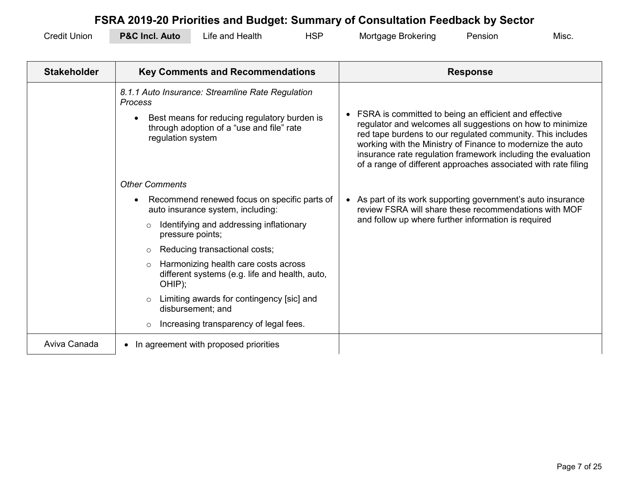| <b>Credit Union</b> | <b>P&amp;C Incl. Auto</b> | Life and Health | <b>HSP</b> | Mortgage Brokering | Pension | Misc |
|---------------------|---------------------------|-----------------|------------|--------------------|---------|------|
|---------------------|---------------------------|-----------------|------------|--------------------|---------|------|

| <b>Stakeholder</b> | <b>Key Comments and Recommendations</b>                                                                                                                                              | <b>Response</b>                                                                                                                                                                                                                                                                                                                                                                  |
|--------------------|--------------------------------------------------------------------------------------------------------------------------------------------------------------------------------------|----------------------------------------------------------------------------------------------------------------------------------------------------------------------------------------------------------------------------------------------------------------------------------------------------------------------------------------------------------------------------------|
|                    | 8.1.1 Auto Insurance: Streamline Rate Regulation<br><b>Process</b><br>Best means for reducing regulatory burden is<br>through adoption of a "use and file" rate<br>regulation system | FSRA is committed to being an efficient and effective<br>regulator and welcomes all suggestions on how to minimize<br>red tape burdens to our regulated community. This includes<br>working with the Ministry of Finance to modernize the auto<br>insurance rate regulation framework including the evaluation<br>of a range of different approaches associated with rate filing |
|                    | <b>Other Comments</b>                                                                                                                                                                |                                                                                                                                                                                                                                                                                                                                                                                  |
|                    | Recommend renewed focus on specific parts of<br>auto insurance system, including:                                                                                                    | As part of its work supporting government's auto insurance<br>review FSRA will share these recommendations with MOF                                                                                                                                                                                                                                                              |
|                    | Identifying and addressing inflationary<br>$\circ$<br>pressure points;                                                                                                               | and follow up where further information is required                                                                                                                                                                                                                                                                                                                              |
|                    | Reducing transactional costs;<br>$\circ$                                                                                                                                             |                                                                                                                                                                                                                                                                                                                                                                                  |
|                    | Harmonizing health care costs across<br>$\circ$<br>different systems (e.g. life and health, auto,<br>OHIP);                                                                          |                                                                                                                                                                                                                                                                                                                                                                                  |
|                    | Limiting awards for contingency [sic] and<br>$\circ$<br>disbursement; and                                                                                                            |                                                                                                                                                                                                                                                                                                                                                                                  |
|                    | Increasing transparency of legal fees.<br>$\circ$                                                                                                                                    |                                                                                                                                                                                                                                                                                                                                                                                  |
| Aviva Canada       | • In agreement with proposed priorities                                                                                                                                              |                                                                                                                                                                                                                                                                                                                                                                                  |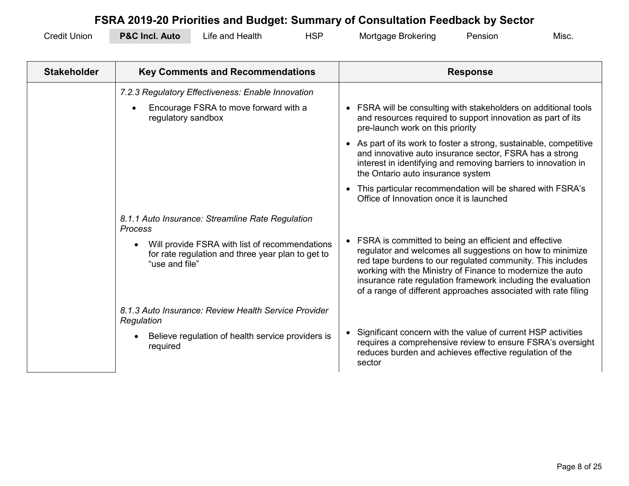| <b>Credit Union</b> | <b>P&amp;C Incl. Auto</b> | ∟ife and Health | HSP | Mortgage Brokering | Pension | Misc. |
|---------------------|---------------------------|-----------------|-----|--------------------|---------|-------|
|---------------------|---------------------------|-----------------|-----|--------------------|---------|-------|

| <b>Stakeholder</b> | <b>Key Comments and Recommendations</b>                                                                                                                                              | <b>Response</b>                                                                                                                                                                                                                                                                                                                                                                  |
|--------------------|--------------------------------------------------------------------------------------------------------------------------------------------------------------------------------------|----------------------------------------------------------------------------------------------------------------------------------------------------------------------------------------------------------------------------------------------------------------------------------------------------------------------------------------------------------------------------------|
|                    | 7.2.3 Regulatory Effectiveness: Enable Innovation<br>Encourage FSRA to move forward with a<br>$\bullet$<br>regulatory sandbox                                                        | • FSRA will be consulting with stakeholders on additional tools<br>and resources required to support innovation as part of its<br>pre-launch work on this priority<br>• As part of its work to foster a strong, sustainable, competitive                                                                                                                                         |
|                    |                                                                                                                                                                                      | and innovative auto insurance sector, FSRA has a strong<br>interest in identifying and removing barriers to innovation in<br>the Ontario auto insurance system                                                                                                                                                                                                                   |
|                    |                                                                                                                                                                                      | This particular recommendation will be shared with FSRA's<br>$\bullet$<br>Office of Innovation once it is launched                                                                                                                                                                                                                                                               |
|                    | 8.1.1 Auto Insurance: Streamline Rate Regulation<br>Process<br>Will provide FSRA with list of recommendations<br>for rate regulation and three year plan to get to<br>"use and file" | FSRA is committed to being an efficient and effective<br>regulator and welcomes all suggestions on how to minimize<br>red tape burdens to our regulated community. This includes<br>working with the Ministry of Finance to modernize the auto<br>insurance rate regulation framework including the evaluation<br>of a range of different approaches associated with rate filing |
|                    | 8.1.3 Auto Insurance: Review Health Service Provider<br>Regulation<br>Believe regulation of health service providers is<br>required                                                  | Significant concern with the value of current HSP activities<br>requires a comprehensive review to ensure FSRA's oversight<br>reduces burden and achieves effective regulation of the<br>sector                                                                                                                                                                                  |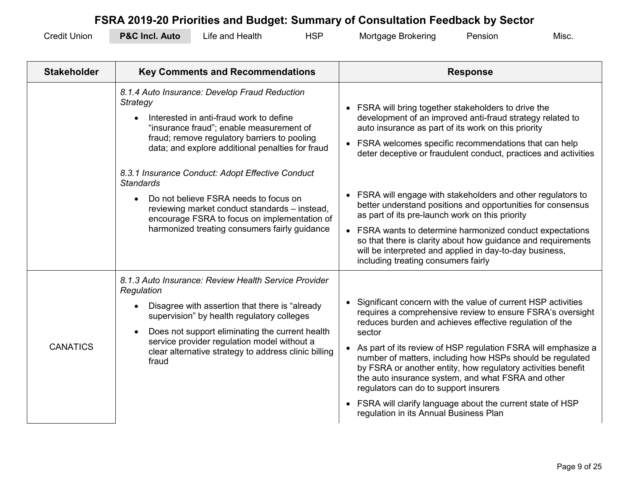| <b>Credit Union</b> | <b>P&amp;C Incl. Auto</b> | ∟ife and Health | HSP | Mortgage Brokering | Pensior | Misc. |
|---------------------|---------------------------|-----------------|-----|--------------------|---------|-------|
|---------------------|---------------------------|-----------------|-----|--------------------|---------|-------|

| <b>Stakeholder</b> | <b>Key Comments and Recommendations</b>                                                                                                                                                                                                                                                                                                                                                                                                                                                                                                     | <b>Response</b>                                                                                                                                                                                                                                                                                                                                                                                                                                                                                                                                                                                                                                                                                                |
|--------------------|---------------------------------------------------------------------------------------------------------------------------------------------------------------------------------------------------------------------------------------------------------------------------------------------------------------------------------------------------------------------------------------------------------------------------------------------------------------------------------------------------------------------------------------------|----------------------------------------------------------------------------------------------------------------------------------------------------------------------------------------------------------------------------------------------------------------------------------------------------------------------------------------------------------------------------------------------------------------------------------------------------------------------------------------------------------------------------------------------------------------------------------------------------------------------------------------------------------------------------------------------------------------|
|                    | 8.1.4 Auto Insurance: Develop Fraud Reduction<br><b>Strategy</b><br>Interested in anti-fraud work to define<br>$\bullet$<br>"insurance fraud"; enable measurement of<br>fraud; remove regulatory barriers to pooling<br>data; and explore additional penalties for fraud<br>8.3.1 Insurance Conduct: Adopt Effective Conduct<br><b>Standards</b><br>Do not believe FSRA needs to focus on<br>reviewing market conduct standards - instead,<br>encourage FSRA to focus on implementation of<br>harmonized treating consumers fairly guidance | FSRA will bring together stakeholders to drive the<br>development of an improved anti-fraud strategy related to<br>auto insurance as part of its work on this priority<br>FSRA welcomes specific recommendations that can help<br>deter deceptive or fraudulent conduct, practices and activities<br>FSRA will engage with stakeholders and other regulators to<br>better understand positions and opportunities for consensus<br>as part of its pre-launch work on this priority<br>FSRA wants to determine harmonized conduct expectations<br>so that there is clarity about how guidance and requirements<br>will be interpreted and applied in day-to-day business,<br>including treating consumers fairly |
| <b>CANATICS</b>    | 8.1.3 Auto Insurance: Review Health Service Provider<br>Regulation<br>Disagree with assertion that there is "already<br>supervision" by health regulatory colleges<br>Does not support eliminating the current health<br>service provider regulation model without a<br>clear alternative strategy to address clinic billing<br>fraud                                                                                                                                                                                                       | Significant concern with the value of current HSP activities<br>requires a comprehensive review to ensure FSRA's oversight<br>reduces burden and achieves effective regulation of the<br>sector<br>As part of its review of HSP regulation FSRA will emphasize a<br>number of matters, including how HSPs should be regulated<br>by FSRA or another entity, how regulatory activities benefit<br>the auto insurance system, and what FSRA and other<br>regulators can do to support insurers<br>FSRA will clarify language about the current state of HSP<br>regulation in its Annual Business Plan                                                                                                            |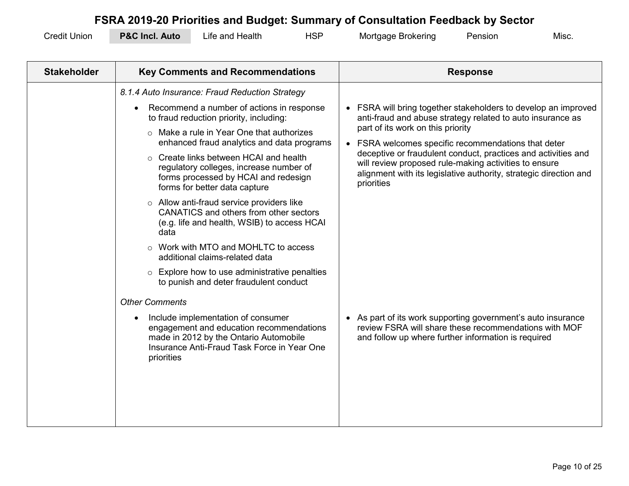| <b>Credit Union</b> | <b>P&amp;C Incl. Auto</b> | Life and Health | HSP | Mortgage Brokering | Pension | Misc |
|---------------------|---------------------------|-----------------|-----|--------------------|---------|------|
|---------------------|---------------------------|-----------------|-----|--------------------|---------|------|

| <b>Stakeholder</b> | <b>Key Comments and Recommendations</b>                                                                                                                                                                                                                                                                                                                                                                                                                                                                                                                                                                                                                                                        | <b>Response</b>                                                                                                                                                                                                                                                                                                                                                                                                                   |
|--------------------|------------------------------------------------------------------------------------------------------------------------------------------------------------------------------------------------------------------------------------------------------------------------------------------------------------------------------------------------------------------------------------------------------------------------------------------------------------------------------------------------------------------------------------------------------------------------------------------------------------------------------------------------------------------------------------------------|-----------------------------------------------------------------------------------------------------------------------------------------------------------------------------------------------------------------------------------------------------------------------------------------------------------------------------------------------------------------------------------------------------------------------------------|
|                    | 8.1.4 Auto Insurance: Fraud Reduction Strategy<br>Recommend a number of actions in response<br>to fraud reduction priority, including:<br>$\circ$ Make a rule in Year One that authorizes<br>enhanced fraud analytics and data programs<br>$\circ$ Create links between HCAI and health<br>regulatory colleges, increase number of<br>forms processed by HCAI and redesign<br>forms for better data capture<br>$\circ$ Allow anti-fraud service providers like<br>CANATICS and others from other sectors<br>(e.g. life and health, WSIB) to access HCAI<br>data<br>Work with MTO and MOHLTC to access<br>additional claims-related data<br>$\circ$ Explore how to use administrative penalties | FSRA will bring together stakeholders to develop an improved<br>anti-fraud and abuse strategy related to auto insurance as<br>part of its work on this priority<br>FSRA welcomes specific recommendations that deter<br>deceptive or fraudulent conduct, practices and activities and<br>will review proposed rule-making activities to ensure<br>alignment with its legislative authority, strategic direction and<br>priorities |
|                    | to punish and deter fraudulent conduct<br><b>Other Comments</b><br>Include implementation of consumer<br>engagement and education recommendations<br>made in 2012 by the Ontario Automobile<br>Insurance Anti-Fraud Task Force in Year One<br>priorities                                                                                                                                                                                                                                                                                                                                                                                                                                       | • As part of its work supporting government's auto insurance<br>review FSRA will share these recommendations with MOF<br>and follow up where further information is required                                                                                                                                                                                                                                                      |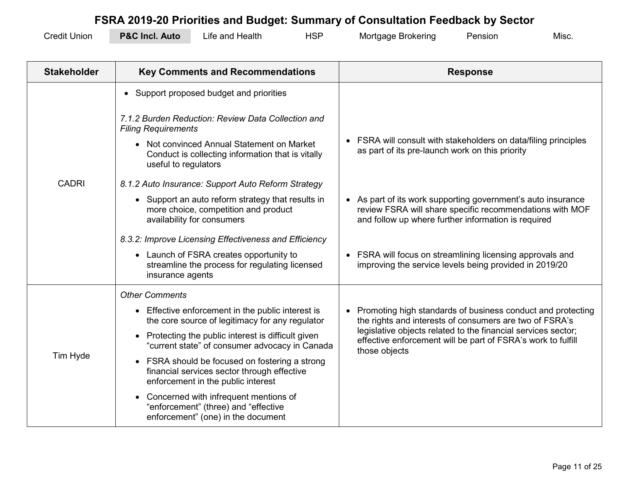| <b>Credit Union</b> | <b>P&amp;C Incl. Auto</b> | Life and Health | HSP | Mortgage Brokering | Pension | Misc. |
|---------------------|---------------------------|-----------------|-----|--------------------|---------|-------|
|---------------------|---------------------------|-----------------|-----|--------------------|---------|-------|

| <b>Stakeholder</b> | <b>Key Comments and Recommendations</b>                                                                                           | <b>Response</b>                                                                                                                                                               |
|--------------------|-----------------------------------------------------------------------------------------------------------------------------------|-------------------------------------------------------------------------------------------------------------------------------------------------------------------------------|
|                    | • Support proposed budget and priorities                                                                                          |                                                                                                                                                                               |
|                    | 7.1.2 Burden Reduction: Review Data Collection and<br><b>Filing Requirements</b>                                                  |                                                                                                                                                                               |
| <b>CADRI</b>       | Not convinced Annual Statement on Market<br>Conduct is collecting information that is vitally<br>useful to regulators             | FSRA will consult with stakeholders on data/filing principles<br>as part of its pre-launch work on this priority                                                              |
|                    | 8.1.2 Auto Insurance: Support Auto Reform Strategy                                                                                |                                                                                                                                                                               |
|                    | Support an auto reform strategy that results in<br>more choice, competition and product<br>availability for consumers             | As part of its work supporting government's auto insurance<br>review FSRA will share specific recommendations with MOF<br>and follow up where further information is required |
|                    | 8.3.2: Improve Licensing Effectiveness and Efficiency                                                                             |                                                                                                                                                                               |
|                    | • Launch of FSRA creates opportunity to<br>streamline the process for regulating licensed<br>insurance agents                     | FSRA will focus on streamlining licensing approvals and<br>improving the service levels being provided in 2019/20                                                             |
|                    | <b>Other Comments</b>                                                                                                             |                                                                                                                                                                               |
|                    | Effective enforcement in the public interest is<br>$\bullet$<br>the core source of legitimacy for any regulator                   | Promoting high standards of business conduct and protecting<br>the rights and interests of consumers are two of FSRA's                                                        |
| Tim Hyde           | Protecting the public interest is difficult given<br>"current state" of consumer advocacy in Canada                               | legislative objects related to the financial services sector;<br>effective enforcement will be part of FSRA's work to fulfill<br>those objects                                |
|                    | FSRA should be focused on fostering a strong<br>financial services sector through effective<br>enforcement in the public interest |                                                                                                                                                                               |
|                    | Concerned with infrequent mentions of<br>"enforcement" (three) and "effective<br>enforcement" (one) in the document               |                                                                                                                                                                               |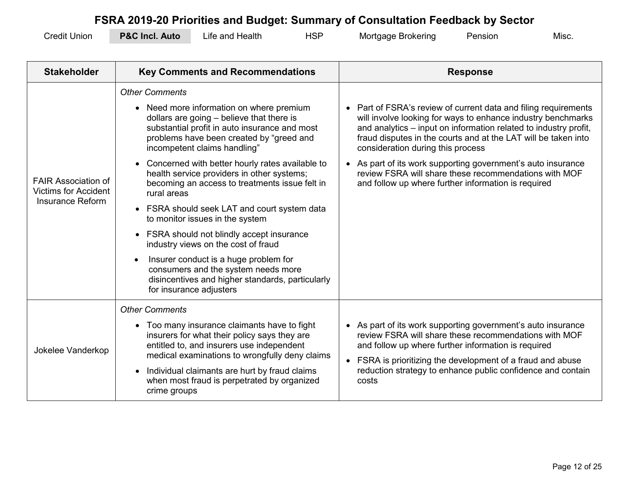| <b>Credit Union</b> | <b>P&amp;C Incl.</b><br>Auto | and Health<br>∟ıte⊹ | ЧSP | Mortgage Brokering | Pension | Misc |
|---------------------|------------------------------|---------------------|-----|--------------------|---------|------|
|---------------------|------------------------------|---------------------|-----|--------------------|---------|------|

| <b>Stakeholder</b>                                                            | <b>Key Comments and Recommendations</b>                                                                                                                                                                                                                                                                                                                                                                                                                                                                                                                                                                                                                                                                                                            | <b>Response</b>                                                                                                                                                                                                                                                                                                                                                                                                                                                                        |
|-------------------------------------------------------------------------------|----------------------------------------------------------------------------------------------------------------------------------------------------------------------------------------------------------------------------------------------------------------------------------------------------------------------------------------------------------------------------------------------------------------------------------------------------------------------------------------------------------------------------------------------------------------------------------------------------------------------------------------------------------------------------------------------------------------------------------------------------|----------------------------------------------------------------------------------------------------------------------------------------------------------------------------------------------------------------------------------------------------------------------------------------------------------------------------------------------------------------------------------------------------------------------------------------------------------------------------------------|
| <b>FAIR Association of</b><br><b>Victims for Accident</b><br>Insurance Reform | <b>Other Comments</b><br>• Need more information on where premium<br>dollars are going - believe that there is<br>substantial profit in auto insurance and most<br>problems have been created by "greed and<br>incompetent claims handling"<br>Concerned with better hourly rates available to<br>health service providers in other systems;<br>becoming an access to treatments issue felt in<br>rural areas<br>• FSRA should seek LAT and court system data<br>to monitor issues in the system<br>FSRA should not blindly accept insurance<br>industry views on the cost of fraud<br>Insurer conduct is a huge problem for<br>consumers and the system needs more<br>disincentives and higher standards, particularly<br>for insurance adjusters | Part of FSRA's review of current data and filing requirements<br>will involve looking for ways to enhance industry benchmarks<br>and analytics – input on information related to industry profit,<br>fraud disputes in the courts and at the LAT will be taken into<br>consideration during this process<br>As part of its work supporting government's auto insurance<br>review FSRA will share these recommendations with MOF<br>and follow up where further information is required |
| Jokelee Vanderkop                                                             | <b>Other Comments</b><br>Too many insurance claimants have to fight<br>insurers for what their policy says they are<br>entitled to, and insurers use independent<br>medical examinations to wrongfully deny claims<br>Individual claimants are hurt by fraud claims<br>when most fraud is perpetrated by organized<br>crime groups                                                                                                                                                                                                                                                                                                                                                                                                                 | As part of its work supporting government's auto insurance<br>review FSRA will share these recommendations with MOF<br>and follow up where further information is required<br>FSRA is prioritizing the development of a fraud and abuse<br>reduction strategy to enhance public confidence and contain<br>costs                                                                                                                                                                        |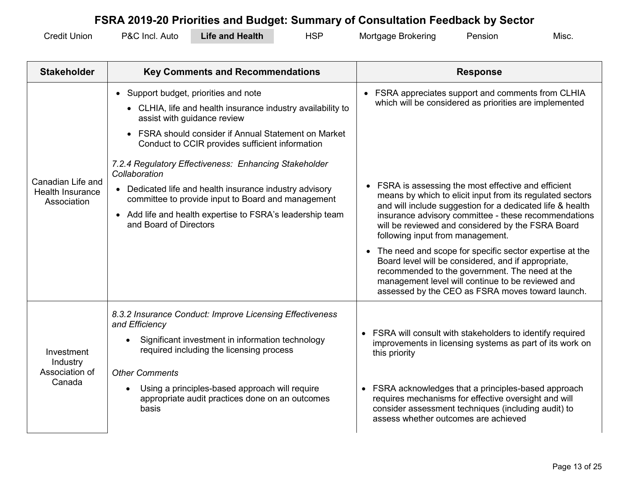| <b>Credit Union</b> | P&C Incl.<br>Auto | Life and Health | HSP | Mortgage Brokering | Pensior | Misc |
|---------------------|-------------------|-----------------|-----|--------------------|---------|------|
|---------------------|-------------------|-----------------|-----|--------------------|---------|------|

| <b>Stakeholder</b>                                          | <b>Key Comments and Recommendations</b>                                                                                                                                                                                                                                                                                                                                                                                                                                                                                          | <b>Response</b>                                                                                                                                                                                                                                                                                                                                                                                                                                                                                                                                                                                                                                                                                                              |
|-------------------------------------------------------------|----------------------------------------------------------------------------------------------------------------------------------------------------------------------------------------------------------------------------------------------------------------------------------------------------------------------------------------------------------------------------------------------------------------------------------------------------------------------------------------------------------------------------------|------------------------------------------------------------------------------------------------------------------------------------------------------------------------------------------------------------------------------------------------------------------------------------------------------------------------------------------------------------------------------------------------------------------------------------------------------------------------------------------------------------------------------------------------------------------------------------------------------------------------------------------------------------------------------------------------------------------------------|
| Canadian Life and<br><b>Health Insurance</b><br>Association | • Support budget, priorities and note<br>• CLHIA, life and health insurance industry availability to<br>assist with guidance review<br>• FSRA should consider if Annual Statement on Market<br>Conduct to CCIR provides sufficient information<br>7.2.4 Regulatory Effectiveness: Enhancing Stakeholder<br>Collaboration<br>• Dedicated life and health insurance industry advisory<br>committee to provide input to Board and management<br>• Add life and health expertise to FSRA's leadership team<br>and Board of Directors | • FSRA appreciates support and comments from CLHIA<br>which will be considered as priorities are implemented<br>FSRA is assessing the most effective and efficient<br>means by which to elicit input from its regulated sectors<br>and will include suggestion for a dedicated life & health<br>insurance advisory committee - these recommendations<br>will be reviewed and considered by the FSRA Board<br>following input from management.<br>• The need and scope for specific sector expertise at the<br>Board level will be considered, and if appropriate,<br>recommended to the government. The need at the<br>management level will continue to be reviewed and<br>assessed by the CEO as FSRA moves toward launch. |
| Investment<br>Industry<br>Association of<br>Canada          | 8.3.2 Insurance Conduct: Improve Licensing Effectiveness<br>and Efficiency<br>Significant investment in information technology<br>required including the licensing process<br><b>Other Comments</b><br>Using a principles-based approach will require<br>appropriate audit practices done on an outcomes<br>basis                                                                                                                                                                                                                | • FSRA will consult with stakeholders to identify required<br>improvements in licensing systems as part of its work on<br>this priority<br>• FSRA acknowledges that a principles-based approach<br>requires mechanisms for effective oversight and will<br>consider assessment techniques (including audit) to<br>assess whether outcomes are achieved                                                                                                                                                                                                                                                                                                                                                                       |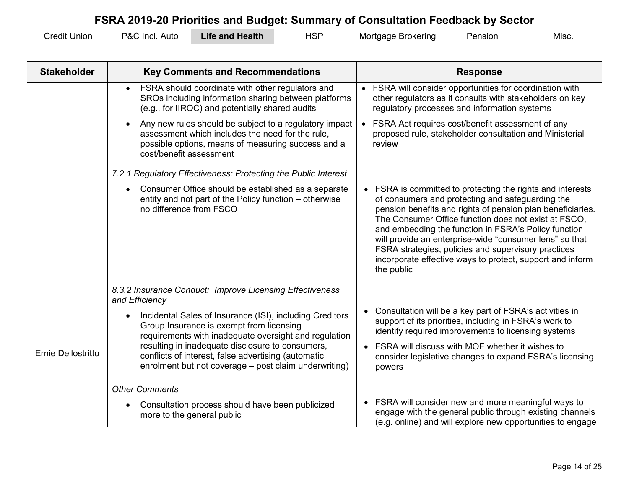| <b>Credit Union</b> | P&C Incl. Auto | <b>Life and Health</b> | HSP | Mortgage Brokering | Pension | Misc. |
|---------------------|----------------|------------------------|-----|--------------------|---------|-------|
|---------------------|----------------|------------------------|-----|--------------------|---------|-------|

| <b>Stakeholder</b> | <b>Key Comments and Recommendations</b>                                                                                                                                                     | <b>Response</b>                                                                                                                                                                                                                                                                                                                                                                                                                                                                           |
|--------------------|---------------------------------------------------------------------------------------------------------------------------------------------------------------------------------------------|-------------------------------------------------------------------------------------------------------------------------------------------------------------------------------------------------------------------------------------------------------------------------------------------------------------------------------------------------------------------------------------------------------------------------------------------------------------------------------------------|
|                    | FSRA should coordinate with other regulators and<br>$\bullet$<br>SROs including information sharing between platforms<br>(e.g., for IIROC) and potentially shared audits                    | FSRA will consider opportunities for coordination with<br>other regulators as it consults with stakeholders on key<br>regulatory processes and information systems                                                                                                                                                                                                                                                                                                                        |
|                    | Any new rules should be subject to a regulatory impact<br>assessment which includes the need for the rule,<br>possible options, means of measuring success and a<br>cost/benefit assessment | FSRA Act requires cost/benefit assessment of any<br>proposed rule, stakeholder consultation and Ministerial<br>review                                                                                                                                                                                                                                                                                                                                                                     |
|                    | 7.2.1 Regulatory Effectiveness: Protecting the Public Interest                                                                                                                              |                                                                                                                                                                                                                                                                                                                                                                                                                                                                                           |
|                    | Consumer Office should be established as a separate<br>entity and not part of the Policy function – otherwise<br>no difference from FSCO                                                    | • FSRA is committed to protecting the rights and interests<br>of consumers and protecting and safeguarding the<br>pension benefits and rights of pension plan beneficiaries.<br>The Consumer Office function does not exist at FSCO,<br>and embedding the function in FSRA's Policy function<br>will provide an enterprise-wide "consumer lens" so that<br>FSRA strategies, policies and supervisory practices<br>incorporate effective ways to protect, support and inform<br>the public |
|                    | 8.3.2 Insurance Conduct: Improve Licensing Effectiveness<br>and Efficiency                                                                                                                  |                                                                                                                                                                                                                                                                                                                                                                                                                                                                                           |
|                    | Incidental Sales of Insurance (ISI), including Creditors<br>Group Insurance is exempt from licensing<br>requirements with inadequate oversight and regulation                               | Consultation will be a key part of FSRA's activities in<br>support of its priorities, including in FSRA's work to<br>identify required improvements to licensing systems                                                                                                                                                                                                                                                                                                                  |
| Ernie Dellostritto | resulting in inadequate disclosure to consumers,<br>conflicts of interest, false advertising (automatic<br>enrolment but not coverage - post claim underwriting)                            | • FSRA will discuss with MOF whether it wishes to<br>consider legislative changes to expand FSRA's licensing<br>powers                                                                                                                                                                                                                                                                                                                                                                    |
|                    | <b>Other Comments</b>                                                                                                                                                                       |                                                                                                                                                                                                                                                                                                                                                                                                                                                                                           |
|                    | Consultation process should have been publicized<br>more to the general public                                                                                                              | • FSRA will consider new and more meaningful ways to<br>engage with the general public through existing channels<br>(e.g. online) and will explore new opportunities to engage                                                                                                                                                                                                                                                                                                            |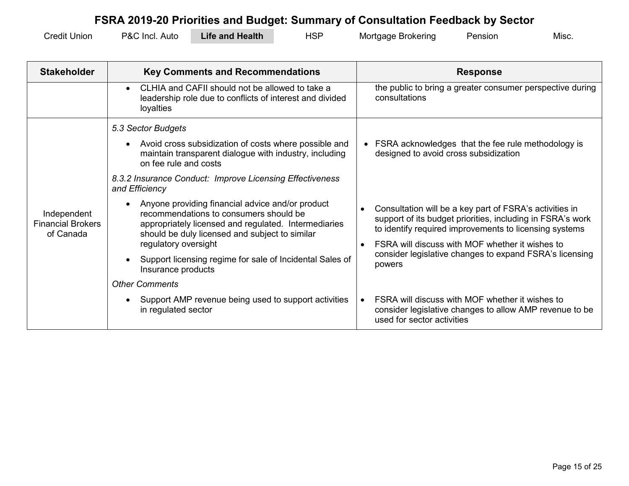| <b>Credit Union</b> | P&C Incl.<br>Auto | Life and Health | <b>HSP</b> | Mortgage Brokering | Pensıon | Misc |
|---------------------|-------------------|-----------------|------------|--------------------|---------|------|
|---------------------|-------------------|-----------------|------------|--------------------|---------|------|

| <b>Stakeholder</b>                                   | <b>Key Comments and Recommendations</b>                                                                                                                                                              | <b>Response</b>                                                                                                                                                                 |
|------------------------------------------------------|------------------------------------------------------------------------------------------------------------------------------------------------------------------------------------------------------|---------------------------------------------------------------------------------------------------------------------------------------------------------------------------------|
|                                                      | CLHIA and CAFII should not be allowed to take a<br>leadership role due to conflicts of interest and divided<br>loyalties                                                                             | the public to bring a greater consumer perspective during<br>consultations                                                                                                      |
|                                                      | 5.3 Sector Budgets                                                                                                                                                                                   |                                                                                                                                                                                 |
|                                                      | Avoid cross subsidization of costs where possible and<br>maintain transparent dialogue with industry, including<br>on fee rule and costs                                                             | • FSRA acknowledges that the fee rule methodology is<br>designed to avoid cross subsidization                                                                                   |
|                                                      | 8.3.2 Insurance Conduct: Improve Licensing Effectiveness<br>and Efficiency                                                                                                                           |                                                                                                                                                                                 |
| Independent<br><b>Financial Brokers</b><br>of Canada | Anyone providing financial advice and/or product<br>recommendations to consumers should be<br>appropriately licensed and regulated. Intermediaries<br>should be duly licensed and subject to similar | Consultation will be a key part of FSRA's activities in<br>support of its budget priorities, including in FSRA's work<br>to identify required improvements to licensing systems |
|                                                      | regulatory oversight                                                                                                                                                                                 | FSRA will discuss with MOF whether it wishes to                                                                                                                                 |
|                                                      | Support licensing regime for sale of Incidental Sales of<br>Insurance products                                                                                                                       | consider legislative changes to expand FSRA's licensing<br>powers                                                                                                               |
|                                                      | <b>Other Comments</b>                                                                                                                                                                                |                                                                                                                                                                                 |
|                                                      | Support AMP revenue being used to support activities<br>in regulated sector                                                                                                                          | FSRA will discuss with MOF whether it wishes to<br>consider legislative changes to allow AMP revenue to be<br>used for sector activities                                        |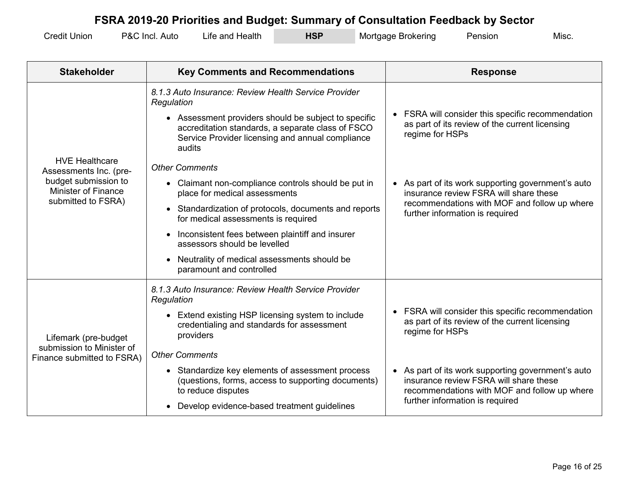| <b>Credit Union</b> | P&C Incl.<br>Auto | Health<br>and ؛<br>∟ıte⊹ | HSP | Mortgage<br><b>Brokering</b> | Pensior | Misc. |
|---------------------|-------------------|--------------------------|-----|------------------------------|---------|-------|
|---------------------|-------------------|--------------------------|-----|------------------------------|---------|-------|

| <b>Stakeholder</b>                                                       | <b>Key Comments and Recommendations</b>                                                                                                                                 | <b>Response</b>                                                                                                                            |
|--------------------------------------------------------------------------|-------------------------------------------------------------------------------------------------------------------------------------------------------------------------|--------------------------------------------------------------------------------------------------------------------------------------------|
|                                                                          | 8.1.3 Auto Insurance: Review Health Service Provider<br>Regulation                                                                                                      |                                                                                                                                            |
|                                                                          | • Assessment providers should be subject to specific<br>accreditation standards, a separate class of FSCO<br>Service Provider licensing and annual compliance<br>audits | FSRA will consider this specific recommendation<br>as part of its review of the current licensing<br>regime for HSPs                       |
| <b>HVE Healthcare</b><br>Assessments Inc. (pre-                          | <b>Other Comments</b>                                                                                                                                                   |                                                                                                                                            |
| budget submission to<br><b>Minister of Finance</b><br>submitted to FSRA) | • Claimant non-compliance controls should be put in<br>place for medical assessments                                                                                    | As part of its work supporting government's auto<br>insurance review FSRA will share these                                                 |
|                                                                          | Standardization of protocols, documents and reports<br>$\bullet$<br>for medical assessments is required                                                                 | recommendations with MOF and follow up where<br>further information is required                                                            |
|                                                                          | Inconsistent fees between plaintiff and insurer<br>assessors should be levelled                                                                                         |                                                                                                                                            |
|                                                                          | Neutrality of medical assessments should be<br>paramount and controlled                                                                                                 |                                                                                                                                            |
|                                                                          | 8.1.3 Auto Insurance: Review Health Service Provider<br>Regulation                                                                                                      |                                                                                                                                            |
| Lifemark (pre-budget                                                     | • Extend existing HSP licensing system to include<br>credentialing and standards for assessment<br>providers                                                            | FSRA will consider this specific recommendation<br>as part of its review of the current licensing<br>regime for HSPs                       |
| submission to Minister of<br>Finance submitted to FSRA)                  | <b>Other Comments</b>                                                                                                                                                   |                                                                                                                                            |
|                                                                          | • Standardize key elements of assessment process<br>(questions, forms, access to supporting documents)<br>to reduce disputes                                            | As part of its work supporting government's auto<br>insurance review FSRA will share these<br>recommendations with MOF and follow up where |
|                                                                          | Develop evidence-based treatment guidelines<br>$\bullet$                                                                                                                | further information is required                                                                                                            |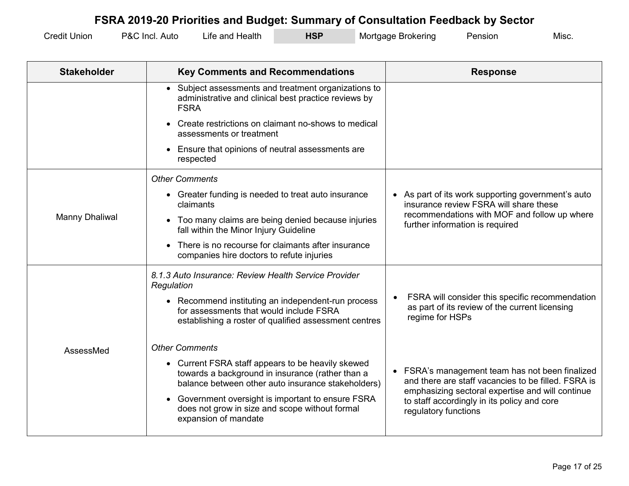| <b>Credit Union</b> | P&C Incl.<br>Auto | Life and Health | HSP | Mortgage Brokering | Pensior | Misc. |
|---------------------|-------------------|-----------------|-----|--------------------|---------|-------|
|---------------------|-------------------|-----------------|-----|--------------------|---------|-------|

| <b>Stakeholder</b> | <b>Key Comments and Recommendations</b>                                                                                                                     | <b>Response</b>                                                                                                         |
|--------------------|-------------------------------------------------------------------------------------------------------------------------------------------------------------|-------------------------------------------------------------------------------------------------------------------------|
|                    | • Subject assessments and treatment organizations to<br>administrative and clinical best practice reviews by<br><b>FSRA</b>                                 |                                                                                                                         |
|                    | Create restrictions on claimant no-shows to medical<br>assessments or treatment                                                                             |                                                                                                                         |
|                    | Ensure that opinions of neutral assessments are<br>respected                                                                                                |                                                                                                                         |
|                    | <b>Other Comments</b>                                                                                                                                       |                                                                                                                         |
|                    | • Greater funding is needed to treat auto insurance<br>claimants                                                                                            | • As part of its work supporting government's auto<br>insurance review FSRA will share these                            |
| Manny Dhaliwal     | Too many claims are being denied because injuries<br>$\bullet$<br>fall within the Minor Injury Guideline                                                    | recommendations with MOF and follow up where<br>further information is required                                         |
|                    | There is no recourse for claimants after insurance<br>$\bullet$<br>companies hire doctors to refute injuries                                                |                                                                                                                         |
|                    | 8.1.3 Auto Insurance: Review Health Service Provider<br>Regulation                                                                                          |                                                                                                                         |
|                    | • Recommend instituting an independent-run process<br>for assessments that would include FSRA<br>establishing a roster of qualified assessment centres      | FSRA will consider this specific recommendation<br>as part of its review of the current licensing<br>regime for HSPs    |
| AssessMed          | <b>Other Comments</b>                                                                                                                                       |                                                                                                                         |
|                    | • Current FSRA staff appears to be heavily skewed<br>towards a background in insurance (rather than a<br>balance between other auto insurance stakeholders) | • FSRA's management team has not been finalized<br>and there are staff vacancies to be filled. FSRA is                  |
|                    | Government oversight is important to ensure FSRA<br>does not grow in size and scope without formal<br>expansion of mandate                                  | emphasizing sectoral expertise and will continue<br>to staff accordingly in its policy and core<br>regulatory functions |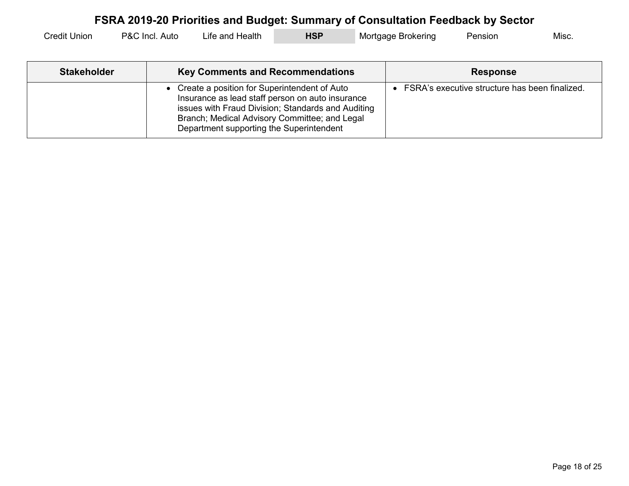| Credit u<br>Unior | P&C '<br>-Incl.<br>Auto | Health<br>⊧and<br>_ıfe. | <b>HSF</b> | → Brokering<br>Mortgage | Pension | Misc. |
|-------------------|-------------------------|-------------------------|------------|-------------------------|---------|-------|
|-------------------|-------------------------|-------------------------|------------|-------------------------|---------|-------|

| <b>Stakeholder</b> | <b>Key Comments and Recommendations</b>                                                                                                                                                                                                               | <b>Response</b>                                |
|--------------------|-------------------------------------------------------------------------------------------------------------------------------------------------------------------------------------------------------------------------------------------------------|------------------------------------------------|
|                    | • Create a position for Superintendent of Auto<br>Insurance as lead staff person on auto insurance<br>issues with Fraud Division; Standards and Auditing<br>Branch; Medical Advisory Committee; and Legal<br>Department supporting the Superintendent | FSRA's executive structure has been finalized. |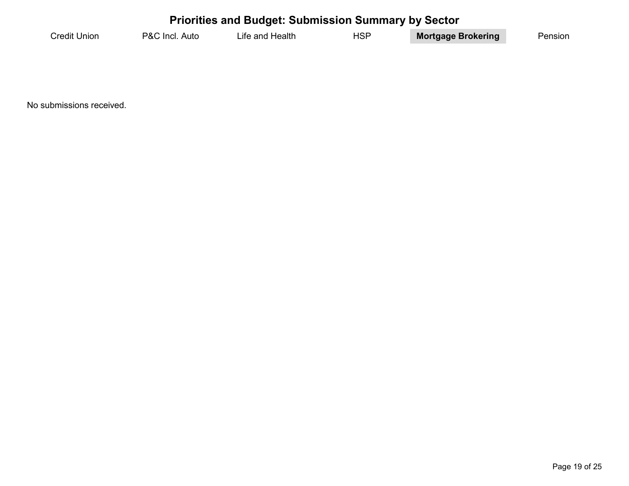#### **Priorities and Budget: Submission Summary by Sector** Credit Union P&C Incl. Auto Life and Health HSP **Mortgage Brokering** Pension

No submissions received.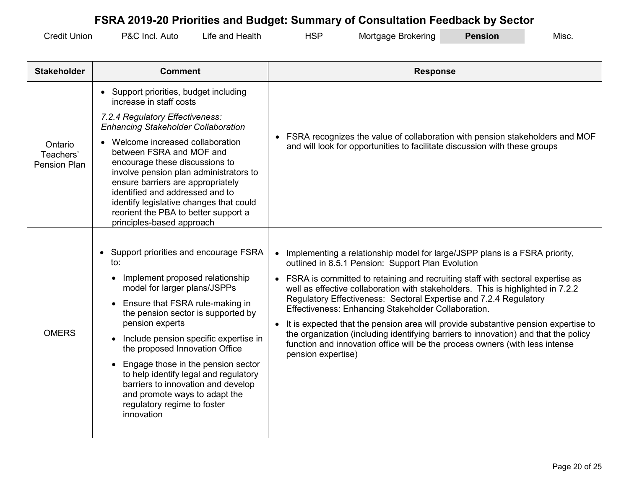| <b>Credit Ur</b><br>Union | P&C Incl<br>Auto | Health<br>and<br>_ıfe i | HSP | Mortgage Brokering | <b>Pension</b> | Misc. |
|---------------------------|------------------|-------------------------|-----|--------------------|----------------|-------|
|---------------------------|------------------|-------------------------|-----|--------------------|----------------|-------|

| <b>Stakeholder</b>                   | <b>Comment</b>                                                                                                                                                                                                                                                                                                                    | <b>Response</b>                                                                                                                                                                        |  |
|--------------------------------------|-----------------------------------------------------------------------------------------------------------------------------------------------------------------------------------------------------------------------------------------------------------------------------------------------------------------------------------|----------------------------------------------------------------------------------------------------------------------------------------------------------------------------------------|--|
|                                      | • Support priorities, budget including<br>increase in staff costs                                                                                                                                                                                                                                                                 |                                                                                                                                                                                        |  |
|                                      | 7.2.4 Regulatory Effectiveness:<br><b>Enhancing Stakeholder Collaboration</b>                                                                                                                                                                                                                                                     |                                                                                                                                                                                        |  |
| Ontario<br>Teachers'<br>Pension Plan | • Welcome increased collaboration<br>between FSRA and MOF and<br>encourage these discussions to<br>involve pension plan administrators to<br>ensure barriers are appropriately<br>identified and addressed and to<br>identify legislative changes that could<br>reorient the PBA to better support a<br>principles-based approach | FSRA recognizes the value of collaboration with pension stakeholders and MOF<br>and will look for opportunities to facilitate discussion with these groups                             |  |
|                                      |                                                                                                                                                                                                                                                                                                                                   |                                                                                                                                                                                        |  |
|                                      | Support priorities and encourage FSRA<br>to:                                                                                                                                                                                                                                                                                      | Implementing a relationship model for large/JSPP plans is a FSRA priority,<br>$\bullet$<br>outlined in 8.5.1 Pension: Support Plan Evolution                                           |  |
|                                      | Implement proposed relationship<br>$\bullet$<br>model for larger plans/JSPPs                                                                                                                                                                                                                                                      | • FSRA is committed to retaining and recruiting staff with sectoral expertise as<br>well as effective collaboration with stakeholders. This is highlighted in 7.2.2                    |  |
|                                      | Ensure that FSRA rule-making in<br>$\bullet$<br>the pension sector is supported by                                                                                                                                                                                                                                                | Regulatory Effectiveness: Sectoral Expertise and 7.2.4 Regulatory<br>Effectiveness: Enhancing Stakeholder Collaboration.                                                               |  |
| <b>OMERS</b>                         | pension experts                                                                                                                                                                                                                                                                                                                   | It is expected that the pension area will provide substantive pension expertise to<br>$\bullet$<br>the organization (including identifying barriers to innovation) and that the policy |  |
|                                      | Include pension specific expertise in<br>$\bullet$<br>the proposed Innovation Office                                                                                                                                                                                                                                              | function and innovation office will be the process owners (with less intense<br>pension expertise)                                                                                     |  |
|                                      | Engage those in the pension sector<br>$\bullet$<br>to help identify legal and regulatory<br>barriers to innovation and develop<br>and promote ways to adapt the<br>regulatory regime to foster<br>innovation                                                                                                                      |                                                                                                                                                                                        |  |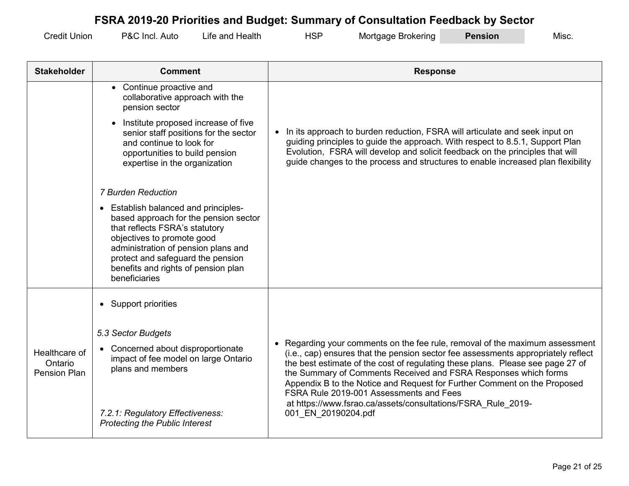| <b>Credit Union</b> | P&C Incl. Auto | Life and Health | <b>HSP</b> | Mortgage Brokering | <b>Pension</b> | Misc. |
|---------------------|----------------|-----------------|------------|--------------------|----------------|-------|
|---------------------|----------------|-----------------|------------|--------------------|----------------|-------|

| <b>Stakeholder</b>                       | <b>Comment</b>                                                                                                                                                                                                                                                                    | <b>Response</b>                                                                                                                                                                                                                                                                                                                                                                                                                               |
|------------------------------------------|-----------------------------------------------------------------------------------------------------------------------------------------------------------------------------------------------------------------------------------------------------------------------------------|-----------------------------------------------------------------------------------------------------------------------------------------------------------------------------------------------------------------------------------------------------------------------------------------------------------------------------------------------------------------------------------------------------------------------------------------------|
|                                          | • Continue proactive and<br>collaborative approach with the<br>pension sector                                                                                                                                                                                                     |                                                                                                                                                                                                                                                                                                                                                                                                                                               |
|                                          | Institute proposed increase of five<br>$\bullet$<br>senior staff positions for the sector<br>and continue to look for<br>opportunities to build pension<br>expertise in the organization                                                                                          | In its approach to burden reduction, FSRA will articulate and seek input on<br>guiding principles to guide the approach. With respect to 8.5.1, Support Plan<br>Evolution, FSRA will develop and solicit feedback on the principles that will<br>guide changes to the process and structures to enable increased plan flexibility                                                                                                             |
|                                          | <b>7 Burden Reduction</b>                                                                                                                                                                                                                                                         |                                                                                                                                                                                                                                                                                                                                                                                                                                               |
|                                          | • Establish balanced and principles-<br>based approach for the pension sector<br>that reflects FSRA's statutory<br>objectives to promote good<br>administration of pension plans and<br>protect and safeguard the pension<br>benefits and rights of pension plan<br>beneficiaries |                                                                                                                                                                                                                                                                                                                                                                                                                                               |
|                                          | • Support priorities                                                                                                                                                                                                                                                              |                                                                                                                                                                                                                                                                                                                                                                                                                                               |
|                                          | 5.3 Sector Budgets                                                                                                                                                                                                                                                                |                                                                                                                                                                                                                                                                                                                                                                                                                                               |
| Healthcare of<br>Ontario<br>Pension Plan | Concerned about disproportionate<br>impact of fee model on large Ontario<br>plans and members                                                                                                                                                                                     | • Regarding your comments on the fee rule, removal of the maximum assessment<br>(i.e., cap) ensures that the pension sector fee assessments appropriately reflect<br>the best estimate of the cost of regulating these plans. Please see page 27 of<br>the Summary of Comments Received and FSRA Responses which forms<br>Appendix B to the Notice and Request for Further Comment on the Proposed<br>FSRA Rule 2019-001 Assessments and Fees |
|                                          | 7.2.1: Regulatory Effectiveness:<br><b>Protecting the Public Interest</b>                                                                                                                                                                                                         | at https://www.fsrao.ca/assets/consultations/FSRA_Rule_2019-<br>001 EN 20190204.pdf                                                                                                                                                                                                                                                                                                                                                           |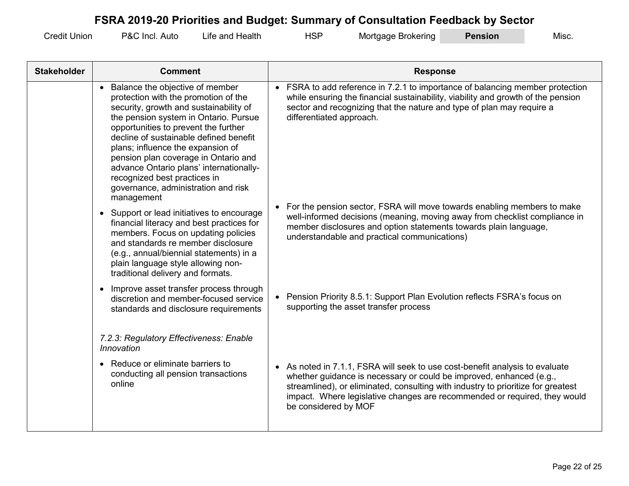| .<br>Credit<br>Union | PAC<br>Auto<br><b>Incl</b> | ⊣ealth<br>and<br>.ıte | ப்வா<br>ାଠା | Mortgage<br>Brokering | <b>nsion</b> | Misc |
|----------------------|----------------------------|-----------------------|-------------|-----------------------|--------------|------|
|----------------------|----------------------------|-----------------------|-------------|-----------------------|--------------|------|

| <b>Stakeholder</b> | <b>Comment</b>                                                                                                                                                                                                                                                                                                                                                                                                                                              | <b>Response</b>                                                                                                                                                                                                                                                                                                                            |
|--------------------|-------------------------------------------------------------------------------------------------------------------------------------------------------------------------------------------------------------------------------------------------------------------------------------------------------------------------------------------------------------------------------------------------------------------------------------------------------------|--------------------------------------------------------------------------------------------------------------------------------------------------------------------------------------------------------------------------------------------------------------------------------------------------------------------------------------------|
|                    | • Balance the objective of member<br>protection with the promotion of the<br>security, growth and sustainability of<br>the pension system in Ontario. Pursue<br>opportunities to prevent the further<br>decline of sustainable defined benefit<br>plans; influence the expansion of<br>pension plan coverage in Ontario and<br>advance Ontario plans' internationally-<br>recognized best practices in<br>governance, administration and risk<br>management | • FSRA to add reference in 7.2.1 to importance of balancing member protection<br>while ensuring the financial sustainability, viability and growth of the pension<br>sector and recognizing that the nature and type of plan may require a<br>differentiated approach.                                                                     |
|                    | • Support or lead initiatives to encourage<br>financial literacy and best practices for<br>members. Focus on updating policies<br>and standards re member disclosure<br>(e.g., annual/biennial statements) in a<br>plain language style allowing non-<br>traditional delivery and formats.                                                                                                                                                                  | For the pension sector, FSRA will move towards enabling members to make<br>well-informed decisions (meaning, moving away from checklist compliance in<br>member disclosures and option statements towards plain language,<br>understandable and practical communications)                                                                  |
|                    | • Improve asset transfer process through<br>discretion and member-focused service<br>standards and disclosure requirements                                                                                                                                                                                                                                                                                                                                  | Pension Priority 8.5.1: Support Plan Evolution reflects FSRA's focus on<br>supporting the asset transfer process                                                                                                                                                                                                                           |
|                    | 7.2.3: Regulatory Effectiveness: Enable<br>Innovation                                                                                                                                                                                                                                                                                                                                                                                                       |                                                                                                                                                                                                                                                                                                                                            |
|                    | • Reduce or eliminate barriers to<br>conducting all pension transactions<br>online                                                                                                                                                                                                                                                                                                                                                                          | As noted in 7.1.1, FSRA will seek to use cost-benefit analysis to evaluate<br>whether guidance is necessary or could be improved, enhanced (e.g.,<br>streamlined), or eliminated, consulting with industry to prioritize for greatest<br>impact. Where legislative changes are recommended or required, they would<br>be considered by MOF |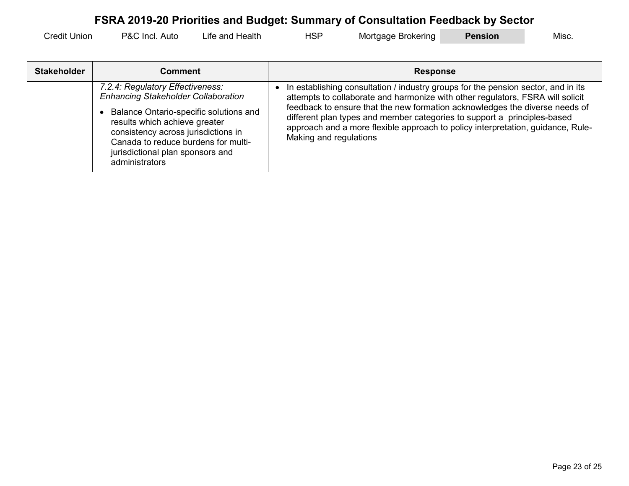| <b>Credit Union</b> | P&C Incl.<br>Auto | Life and Health | HSF | Mortgage Brokering | <b>Pension</b> | Misc. |
|---------------------|-------------------|-----------------|-----|--------------------|----------------|-------|
|---------------------|-------------------|-----------------|-----|--------------------|----------------|-------|

| <b>Stakeholder</b> | Comment                                                                                                                                                                                                                                                                                       | <b>Response</b>                                                                                                                                                                                                                                                                                                                                                                                                                             |
|--------------------|-----------------------------------------------------------------------------------------------------------------------------------------------------------------------------------------------------------------------------------------------------------------------------------------------|---------------------------------------------------------------------------------------------------------------------------------------------------------------------------------------------------------------------------------------------------------------------------------------------------------------------------------------------------------------------------------------------------------------------------------------------|
|                    | 7.2.4: Regulatory Effectiveness:<br><b>Enhancing Stakeholder Collaboration</b><br>Balance Ontario-specific solutions and<br>results which achieve greater<br>consistency across jurisdictions in<br>Canada to reduce burdens for multi-<br>jurisdictional plan sponsors and<br>administrators | In establishing consultation / industry groups for the pension sector, and in its<br>attempts to collaborate and harmonize with other regulators, FSRA will solicit<br>feedback to ensure that the new formation acknowledges the diverse needs of<br>different plan types and member categories to support a principles-based<br>approach and a more flexible approach to policy interpretation, guidance, Rule-<br>Making and regulations |